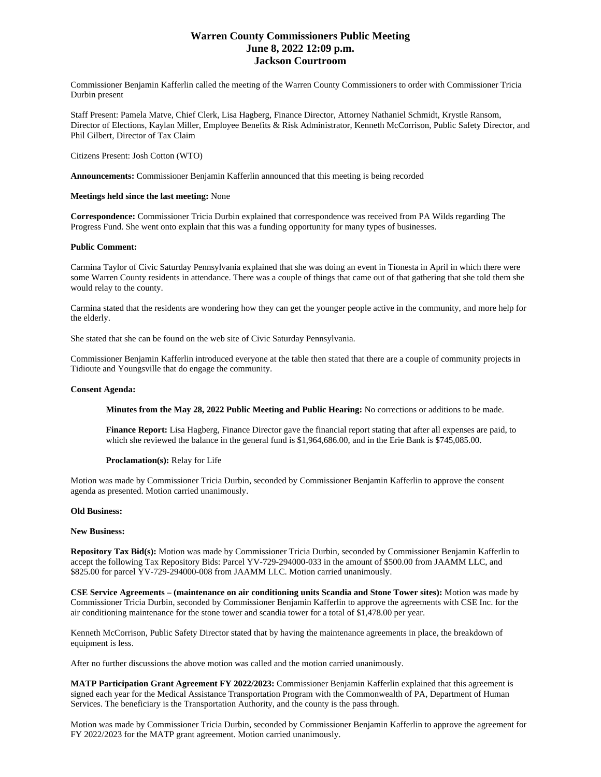# **Warren County Commissioners Public Meeting June 8, 2022 12:09 p.m. Jackson Courtroom**

Commissioner Benjamin Kafferlin called the meeting of the Warren County Commissioners to order with Commissioner Tricia Durbin present

Staff Present: Pamela Matve, Chief Clerk, Lisa Hagberg, Finance Director, Attorney Nathaniel Schmidt, Krystle Ransom, Director of Elections, Kaylan Miller, Employee Benefits & Risk Administrator, Kenneth McCorrison, Public Safety Director, and Phil Gilbert, Director of Tax Claim

Citizens Present: Josh Cotton (WTO)

**Announcements:** Commissioner Benjamin Kafferlin announced that this meeting is being recorded

## **Meetings held since the last meeting:** None

**Correspondence:** Commissioner Tricia Durbin explained that correspondence was received from PA Wilds regarding The Progress Fund. She went onto explain that this was a funding opportunity for many types of businesses.

## **Public Comment:**

Carmina Taylor of Civic Saturday Pennsylvania explained that she was doing an event in Tionesta in April in which there were some Warren County residents in attendance. There was a couple of things that came out of that gathering that she told them she would relay to the county.

Carmina stated that the residents are wondering how they can get the younger people active in the community, and more help for the elderly.

She stated that she can be found on the web site of Civic Saturday Pennsylvania.

Commissioner Benjamin Kafferlin introduced everyone at the table then stated that there are a couple of community projects in Tidioute and Youngsville that do engage the community.

## **Consent Agenda:**

**Minutes from the May 28, 2022 Public Meeting and Public Hearing:** No corrections or additions to be made.

**Finance Report:** Lisa Hagberg, Finance Director gave the financial report stating that after all expenses are paid, to which she reviewed the balance in the general fund is \$1,964,686.00, and in the Erie Bank is \$745,085.00.

### **Proclamation(s):** Relay for Life

Motion was made by Commissioner Tricia Durbin, seconded by Commissioner Benjamin Kafferlin to approve the consent agenda as presented. Motion carried unanimously.

### **Old Business:**

### **New Business:**

**Repository Tax Bid(s):** Motion was made by Commissioner Tricia Durbin, seconded by Commissioner Benjamin Kafferlin to accept the following Tax Repository Bids: Parcel YV-729-294000-033 in the amount of \$500.00 from JAAMM LLC, and \$825.00 for parcel YV-729-294000-008 from JAAMM LLC. Motion carried unanimously.

**CSE Service Agreements – (maintenance on air conditioning units Scandia and Stone Tower sites):** Motion was made by Commissioner Tricia Durbin, seconded by Commissioner Benjamin Kafferlin to approve the agreements with CSE Inc. for the air conditioning maintenance for the stone tower and scandia tower for a total of \$1,478.00 per year.

Kenneth McCorrison, Public Safety Director stated that by having the maintenance agreements in place, the breakdown of equipment is less.

After no further discussions the above motion was called and the motion carried unanimously.

**MATP Participation Grant Agreement FY 2022/2023:** Commissioner Benjamin Kafferlin explained that this agreement is signed each year for the Medical Assistance Transportation Program with the Commonwealth of PA, Department of Human Services. The beneficiary is the Transportation Authority, and the county is the pass through.

Motion was made by Commissioner Tricia Durbin, seconded by Commissioner Benjamin Kafferlin to approve the agreement for FY 2022/2023 for the MATP grant agreement. Motion carried unanimously.